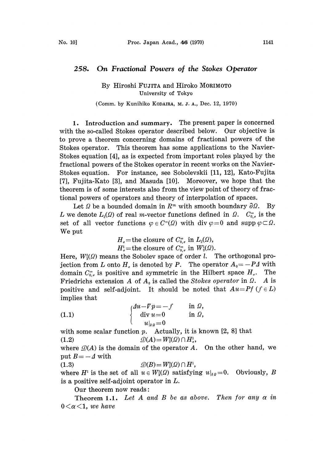## 258. On Fractional Powers of the Stokes Operator

## By Hiroshi FUJITA and Hiroko MORIMOTO University of Tokyo

## (Comm. by Kunihiko KODAIRA, M. J. A., Dec. 12, 1970)

1. Introduction and summary. The present paper is concerned with the so-called Stokes operator described below. Our objective is to prove a theorem concerning domains of fractional powers of the Stokes operator. This theorem has some applications to the Navier-Stokes equation [4], as is expected from important roles played by the fractional powers of the Stokes operator in recent works on the Navier-Stokes equation. For instance, see Sobolevskii [11, 12], Kato-Fujita [7], Fujita-Kato [3], and Masuda [10]. Moreover, we hope that the theorem is of some interests also from the view point of theory of fractional powers of operators and theory of interpolation of spaces.

Let  $\Omega$  be a bounded domain in  $R^m$  with smooth boundary  $\partial \Omega$ . By L we denote  $L_2(\Omega)$  of real m-vector functions defined in  $\Omega$ .  $C_{0,\sigma}^{\infty}$  is the set of all vector functions  $\varphi \in C^{\infty}(\Omega)$  with div  $\varphi = 0$  and supp  $\varphi \subset \Omega$ . We put

> $H_{\sigma}$ =the closure of  $C_{0,\sigma}^{\infty}$  in  $L_2(\Omega)$ ,  $H^1_{\sigma}$ =the closure of  $C^{\infty}_{0,\sigma}$  in  $W^1_2(\Omega)$ .

Here,  $W_2^l(\Omega)$  means the Sobolev space of order l. The orthogonal projection from L onto H<sub>a</sub> is denoted by P. The operator  $A_0 = -P\Delta$  with domain  $C_{0,\sigma}^{\infty}$  is positive and symmetric in the Hilbert space  $H_{\sigma}$ . The Friedrichs extension A of  $A_0$  is called the Stokes operator in  $\Omega$ . A is positive and self-adjoint. It should be noted that  $Au = Pf$  ( $f \in L$ ) implies that

(1.1) 
$$
\begin{cases} 4u - Vp = -f & \text{in } \Omega, \\ \text{div } u = 0 & \text{in } \Omega, \\ u|_{\theta, \rho} = 0 \end{cases}
$$

with some scalar function p. Actually, it is known [2, 8] that (1.2)  $\mathcal{D}(A) = W_2^2(\Omega) \cap H_2^1$ ,

where  $\mathcal{D}(A)$  is the domain of the operator A. On the other hand, we put  $B = -A$  with

(1.3)  $\mathcal{D}(B) = W_2^2(\Omega) \cap H^1$ ,

where  $H^1$  is the set of all  $u \in W_2^1(\Omega)$  satisfying  $u|_{\partial \Omega}=0$ . Obviously, B is a positive self-adjoint operator in L.

Our theorem now reads:

Theorem 1.1. Let A and B be as above. Then for any  $\alpha$  in  $0 < \alpha < 1$ , we have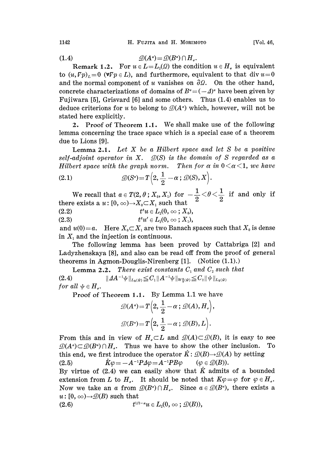(1.4)  $\mathcal{D}(A^{\alpha}) = \mathcal{D}(B^{\alpha}) \cap H_{\alpha}.$ 

Remark 1.2. For  $u \in L = L_2(\Omega)$  the condition  $u \in H_{\sigma}$  is equivalent to  $(u, Fp)_L = 0$  ( $\forall \nabla p \in L$ ), and furthermore, equivalent to that div  $u=0$ and the normal component of u vanishes on  $\partial \Omega$ . On the other hand, concrete characterizations of domains of  $B^a = (-1)^a$  have been given by Fujiwara [5], Grisvard [6] and some others. Thus (1.4) enables us to deduce criterions for u to belong to  $\mathcal{D}(A^{\alpha})$  which, however, will not be stated here explicitly.

2. Proof of Theorem 1.1. We shall make use of the following lemma concerning the trace space which is a special case of a theorem due to Lions [9].

**Lemma 2.1.** Let  $X$  be a Hilbert space and let  $S$  be a positive self-adjoint operator in X.  $\mathcal{D}(S)$  is the domain of S regarded as a Hilbert space with the graph norm. Then for  $\alpha$  in  $0 < \alpha < 1$ , we have

(2.1) 
$$
\mathcal{D}(S^{\alpha}) = T\left(2, \frac{1}{2} - \alpha; \mathcal{D}(S), X\right).
$$

 $\frac{1}{2}-\alpha$  ; D(S), X<br>
x, Y) for  $-\frac{1}{2}<\ \text{such that} \quad \frac{1}{2}<\ \frac{1}{2}$ We recall that  $a \in T(2, \theta; X_0, X_1)$  for  $-\frac{1}{2} < \theta < \frac{1}{2}$ <br>there exists a  $u: [0, \infty) \rightarrow X_0 \subset X_1$  such that

$$
(2.2) \t ts u \in L2(0, \infty; X0),
$$

(2.3)  $t^{\theta}u' \in L_2(0,\infty;X_1),$ 

and  $u(0) = a$ . Here  $X_0 \subset X_1$  are two Banach spaces such that  $X_0$  is dense in  $X_1$  and the injection is continuous.

The following lemma has been proved by Cattabriga [2] and Ladyzhenskaya [8], and also can be read off from the proof of general theorems in Agmon-Douglis-Nirenberg  $[1]$ . (Notice  $(1.1)$ .)

**Lemma 2.2.** There exist constants  $C_1$  and  $C_2$  such that  $||\Delta A^{-1}\psi||_{L_2(Q)} \leq C_1 ||A^{-1}\psi||_{W_2(Q)} \leq C_2 ||\psi||_{L_2(Q)}$  $(2.4)$ for all  $\psi \in H_a$ .

Proof of Theorem 1.1. By Lemma 1.1 we have

$$
\mathcal{D}(A^*) = T\left(2, \frac{1}{2} - \alpha \, ; \, \mathcal{D}(A), H_{\scriptscriptstyle\circ}\right),
$$
  

$$
\mathcal{D}(B^*) = T\left(2, \frac{1}{2} - \alpha \, ; \, \mathcal{D}(B), L\right).
$$
  
From this and in view of  $H_{\scriptscriptstyle\circ} \subset L$  and  $\mathcal{D}(A) \subset \mathcal{D}(B)$ , it is easy to see

 $\mathcal{D}(A^c) \subset \mathcal{D}(B^c) \cap H_a$ . Thus we have to show the other inclusion. To this end, we first introduce the operator  $\check{K}$ :  $\mathcal{D}(B) \rightarrow \mathcal{D}(A)$  by setting (2.5)  $\check{K}\varphi = -A^{-1}P\varDelta\varphi = A^{-1}PB\varphi \qquad (\varphi \in \mathcal{D}(B)).$ 

By virtue of  $(2.4)$  we can easily show that  $\ddot{K}$  admits of a bounded extension from L to H<sub>a</sub>. It should be noted that  $K\varphi = \varphi$  for  $\varphi \in H_a$ . Now we take an a from  $\mathcal{D}(B^{\alpha}) \cap H_{\sigma}$ . Since  $a \in \mathcal{D}(B^{\alpha})$ , there exists a  $u:[0,\infty) {\rightarrow} \mathcal{D}(B)$  such that

(2.6) 
$$
t^{1/2-\alpha}u \in L_2(0, \infty; \mathcal{D}(B)),
$$